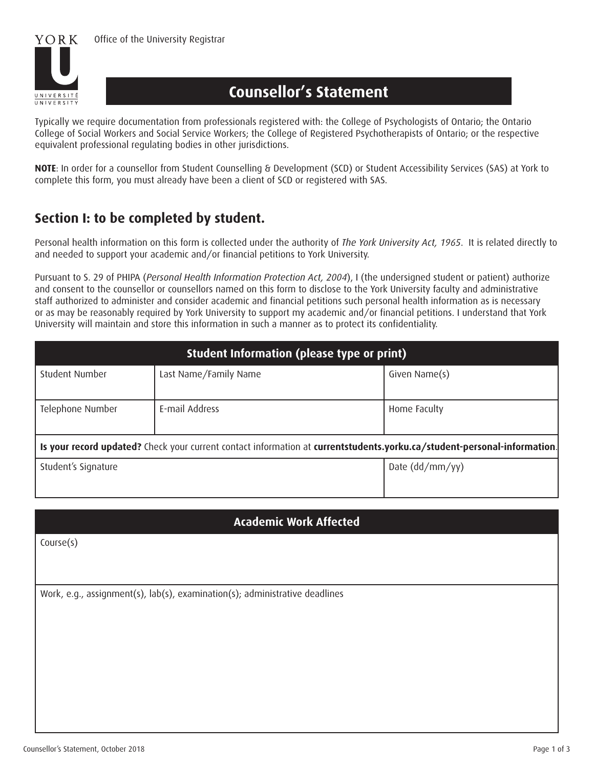

# **Counsellor's Statement**

Typically we require documentation from professionals registered with: the College of Psychologists of Ontario; the Ontario College of Social Workers and Social Service Workers; the College of Registered Psychotherapists of Ontario; or the respective equivalent professional regulating bodies in other jurisdictions.

**NOTE**: In order for a counsellor from Student Counselling & Development (SCD) or Student Accessibility Services (SAS) at York to complete this form, you must already have been a client of SCD or registered with SAS.

### **Section I: to be completed by student.**

Personal health information on this form is collected under the authority of *The York University Act, 1965*. It is related directly to and needed to support your academic and/or financial petitions to York University.

Pursuant to S. 29 of PHIPA (*Personal Health Information Protection Act, 2004*), I (the undersigned student or patient) authorize and consent to the counsellor or counsellors named on this form to disclose to the York University faculty and administrative staff authorized to administer and consider academic and financial petitions such personal health information as is necessary or as may be reasonably required by York University to support my academic and/or financial petitions. I understand that York University will maintain and store this information in such a manner as to protect its confidentiality.

| Student Information (please type or print)                                                                               |                       |                 |
|--------------------------------------------------------------------------------------------------------------------------|-----------------------|-----------------|
| <b>Student Number</b>                                                                                                    | Last Name/Family Name | Given Name(s)   |
| Telephone Number                                                                                                         | E-mail Address        | Home Faculty    |
| Is your record updated? Check your current contact information at currentstudents.yorku.ca/student-personal-information. |                       |                 |
| Student's Signature                                                                                                      |                       | Date (dd/mm/yy) |

#### **Academic Work Affected**

Course(s)

Work, e.g., assignment(s), lab(s), examination(s); administrative deadlines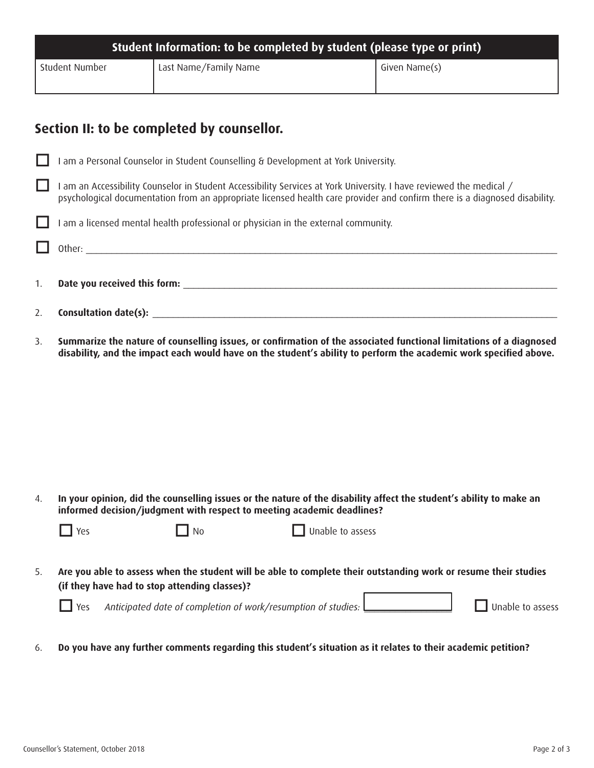| Student Information: to be completed by student (please type or print) |                       |               |
|------------------------------------------------------------------------|-----------------------|---------------|
| Student Number                                                         | Last Name/Family Name | Given Name(s) |

## **Section II: to be completed by counsellor.**

|    | I am a Personal Counselor in Student Counselling & Development at York University.                                                                                                                                                              |
|----|-------------------------------------------------------------------------------------------------------------------------------------------------------------------------------------------------------------------------------------------------|
|    | am an Accessibility Counselor in Student Accessibility Services at York University. I have reviewed the medical /<br>psychological documentation from an appropriate licensed health care provider and confirm there is a diagnosed disability. |
|    | I am a licensed mental health professional or physician in the external community.                                                                                                                                                              |
|    |                                                                                                                                                                                                                                                 |
| 1. | Date you received this form:                                                                                                                                                                                                                    |
| 2. | Consultation date(s):                                                                                                                                                                                                                           |

3. **Summarize the nature of counselling issues, or confrmation of the associated functional limitations of a diagnosed disability, and the impact each would have on the student's ability to perform the academic work specifed above.**

4. **In your opinion, did the counselling issues or the nature of the disability affect the student's ability to make an informed decision/judgment with respect to meeting academic deadlines?**

| $\prod$ Yes | $\blacksquare$ $\blacksquare$ No | $\Box$ Unable to assess |
|-------------|----------------------------------|-------------------------|
|-------------|----------------------------------|-------------------------|

5. **Are you able to assess when the student will be able to complete their outstanding work or resume their studies (if they have had to stop attending classes)?**

Yes Anticipated date of completion of work/resumption of studies: **Quicklet Constanting Constant** Unable to assess

6. **Do you have any further comments regarding this student's situation as it relates to their academic petition?**